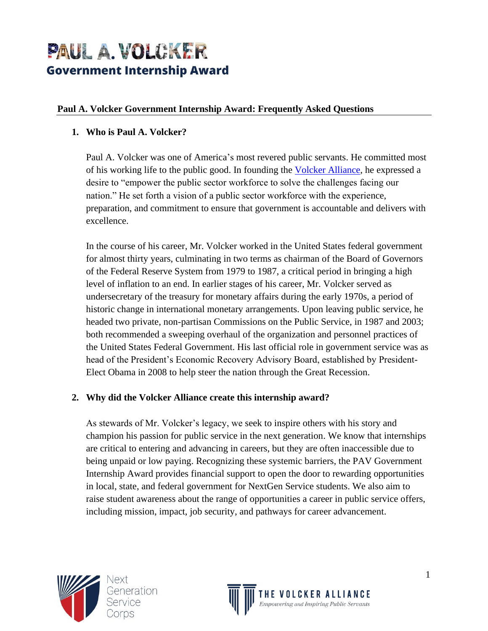# PAUL A. VOLCKER **Government Internship Award**

#### **Paul A. Volcker Government Internship Award: Frequently Asked Questions**

### **1. Who is Paul A. Volcker?**

Paul A. Volcker was one of America's most revered public servants. He committed most of his working life to the public good. In founding the [Volcker Alliance,](https://www.volckeralliance.org/) he expressed a desire to "empower the public sector workforce to solve the challenges facing our nation." He set forth a vision of a public sector workforce with the experience, preparation, and commitment to ensure that government is accountable and delivers with excellence.

In the course of his career, Mr. Volcker worked in the United States federal government for almost thirty years, culminating in two terms as chairman of the Board of Governors of the Federal Reserve System from 1979 to 1987, a critical period in bringing a high level of inflation to an end. In earlier stages of his career, Mr. Volcker served as undersecretary of the treasury for monetary affairs during the early 1970s, a period of historic change in international monetary arrangements. Upon leaving public service, he headed two private, non-partisan Commissions on the Public Service, in 1987 and 2003; both recommended a sweeping overhaul of the organization and personnel practices of the United States Federal Government. His last official role in government service was as head of the President's Economic Recovery Advisory Board, established by President-Elect Obama in 2008 to help steer the nation through the Great Recession.

## **2. Why did the Volcker Alliance create this internship award?**

As stewards of Mr. Volcker's legacy, we seek to inspire others with his story and champion his passion for public service in the next generation. We know that internships are critical to entering and advancing in careers, but they are often inaccessible due to being unpaid or low paying. Recognizing these systemic barriers, the PAV Government Internship Award provides financial support to open the door to rewarding opportunities in local, state, and federal government for NextGen Service students. We also aim to raise student awareness about the range of opportunities a career in public service offers, including mission, impact, job security, and pathways for career advancement.



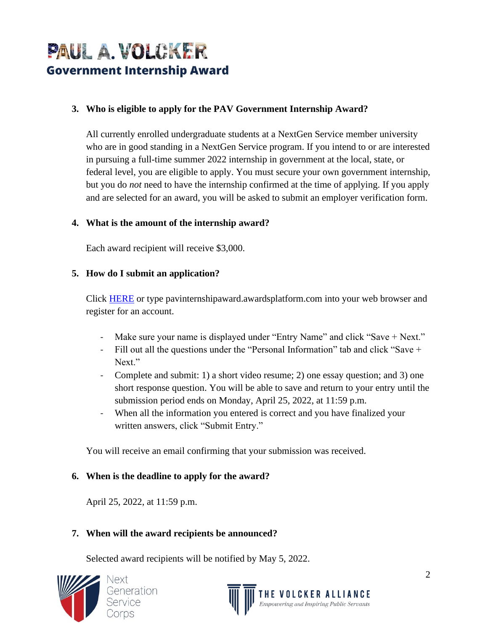# PAUL A. VOLCKER **Government Internship Award**

#### **3. Who is eligible to apply for the PAV Government Internship Award?**

All currently enrolled undergraduate students at a NextGen Service member university who are in good standing in a NextGen Service program. If you intend to or are interested in pursuing a full-time summer 2022 internship in government at the local, state, or federal level, you are eligible to apply. You must secure your own government internship, but you do *not* need to have the internship confirmed at the time of applying. If you apply and are selected for an award, you will be asked to submit an employer verification form.

#### **4. What is the amount of the internship award?**

Each award recipient will receive \$3,000.

#### **5. How do I submit an application?**

Click [HERE](https://pavinternshipaward.awardsplatform.com/) or type pavinternshipaward.awardsplatform.com into your web browser and register for an account.

- Make sure your name is displayed under "Entry Name" and click "Save + Next."
- Fill out all the questions under the "Personal Information" tab and click "Save + Next."
- Complete and submit: 1) a short video resume; 2) one essay question; and 3) one short response question. You will be able to save and return to your entry until the submission period ends on Monday, April 25, 2022, at 11:59 p.m.
- When all the information you entered is correct and you have finalized your written answers, click "Submit Entry."

You will receive an email confirming that your submission was received.

#### **6. When is the deadline to apply for the award?**

April 25, 2022, at 11:59 p.m.

#### **7. When will the award recipients be announced?**

Selected award recipients will be notified by May 5, 2022.